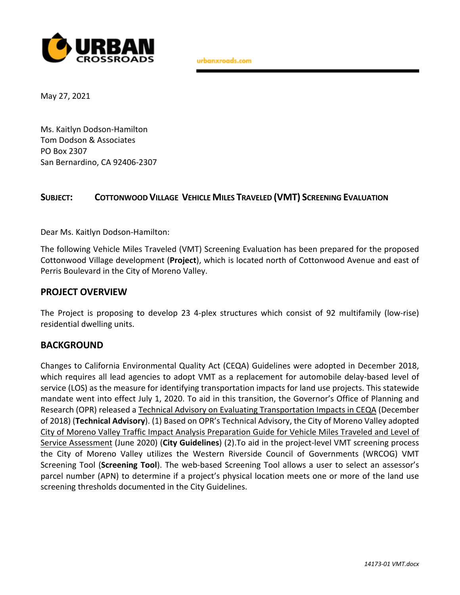

urbanxroads.com

May 27, 2021

Ms. Kaitlyn Dodson-Hamilton Tom Dodson & Associates PO Box 2307 San Bernardino, CA 92406-2307

## **SUBJECT: COTTONWOOD VILLAGE VEHICLE MILES TRAVELED (VMT) SCREENING EVALUATION**

Dear Ms. Kaitlyn Dodson-Hamilton:

The following Vehicle Miles Traveled (VMT) Screening Evaluation has been prepared for the proposed Cottonwood Village development (**Project**), which is located north of Cottonwood Avenue and east of Perris Boulevard in the City of Moreno Valley.

#### **PROJECT OVERVIEW**

The Project is proposing to develop 23 4-plex structures which consist of 92 multifamily (low-rise) residential dwelling units.

#### **BACKGROUND**

Changes to California Environmental Quality Act (CEQA) Guidelines were adopted in December 2018, which requires all lead agencies to adopt VMT as a replacement for automobile delay-based level of service (LOS) as the measure for identifying transportation impacts for land use projects. This statewide mandate went into effect July 1, 2020. To aid in this transition, the Governor's Office of Planning and Research (OPR) released a Technical Advisory on Evaluating Transportation Impacts in CEQA (December of 2018) (**Technical Advisory**). (1) Based on OPR's Technical Advisory, the City of Moreno Valley adopted City of Moreno Valley Traffic Impact Analysis Preparation Guide for Vehicle Miles Traveled and Level of Service Assessment (June 2020) (**City Guidelines**) (2).To aid in the project-level VMT screening process the City of Moreno Valley utilizes the Western Riverside Council of Governments (WRCOG) VMT Screening Tool (**Screening Tool**). The web-based Screening Tool allows a user to select an assessor's parcel number (APN) to determine if a project's physical location meets one or more of the land use screening thresholds documented in the City Guidelines.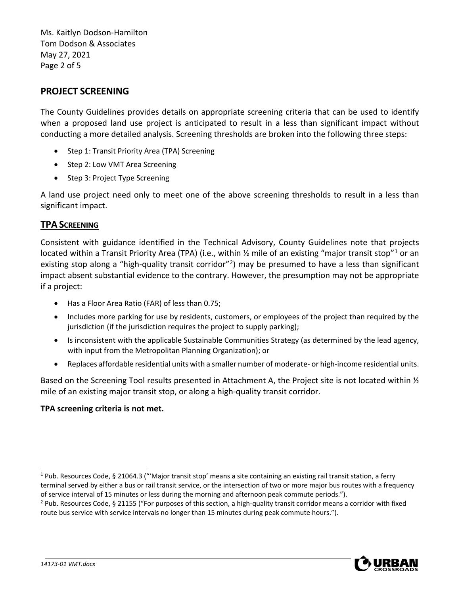Ms. Kaitlyn Dodson-Hamilton Tom Dodson & Associates May 27, 2021 Page 2 of 5

## **PROJECT SCREENING**

The County Guidelines provides details on appropriate screening criteria that can be used to identify when a proposed land use project is anticipated to result in a less than significant impact without conducting a more detailed analysis. Screening thresholds are broken into the following three steps:

- Step 1: Transit Priority Area (TPA) Screening
- Step 2: Low VMT Area Screening
- Step 3: Project Type Screening

A land use project need only to meet one of the above screening thresholds to result in a less than significant impact.

## **TPA SCREENING**

Consistent with guidance identified in the Technical Advisory, County Guidelines note that projects located within a Transit Priority Area (TPA) (i.e., within [1](#page-1-0)/2 mile of an existing "major transit stop"<sup>1</sup> or an existing stop along a "high-quality transit corridor"<sup>[2](#page-1-1)</sup>) may be presumed to have a less than significant impact absent substantial evidence to the contrary. However, the presumption may not be appropriate if a project:

- Has a Floor Area Ratio (FAR) of less than 0.75;
- Includes more parking for use by residents, customers, or employees of the project than required by the jurisdiction (if the jurisdiction requires the project to supply parking);
- Is inconsistent with the applicable Sustainable Communities Strategy (as determined by the lead agency, with input from the Metropolitan Planning Organization); or
- Replaces affordable residential units with a smaller number of moderate- or high-income residential units.

Based on the Screening Tool results presented in Attachment A, the Project site is not located within  $\frac{1}{2}$ mile of an existing major transit stop, or along a high-quality transit corridor.

#### **TPA screening criteria is not met.**



<span id="page-1-0"></span> $1$  Pub. Resources Code, § 21064.3 ("Major transit stop' means a site containing an existing rail transit station, a ferry terminal served by either a bus or rail transit service, or the intersection of two or more major bus routes with a frequency of service interval of 15 minutes or less during the morning and afternoon peak commute periods.").

<span id="page-1-1"></span><sup>2</sup> Pub. Resources Code, § 21155 ("For purposes of this section, a high-quality transit corridor means a corridor with fixed route bus service with service intervals no longer than 15 minutes during peak commute hours.").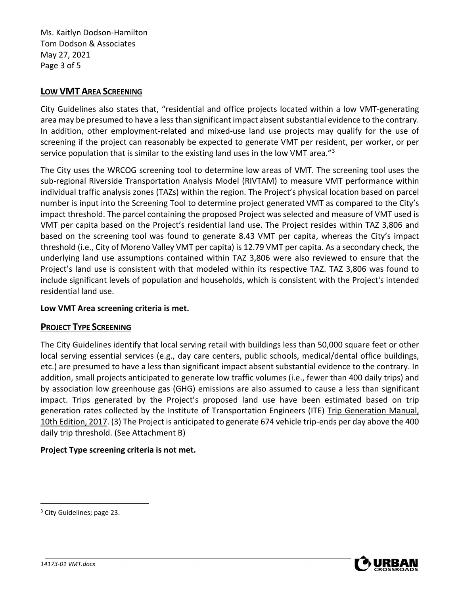Ms. Kaitlyn Dodson-Hamilton Tom Dodson & Associates May 27, 2021 Page 3 of 5

## **LOW VMT AREA SCREENING**

City Guidelines also states that, "residential and office projects located within a low VMT-generating area may be presumed to have a less than significant impact absent substantial evidence to the contrary. In addition, other employment-related and mixed-use land use projects may qualify for the use of screening if the project can reasonably be expected to generate VMT per resident, per worker, or per service population that is similar to the existing land uses in the low VMT area." $3$ 

The City uses the WRCOG screening tool to determine low areas of VMT. The screening tool uses the sub-regional Riverside Transportation Analysis Model (RIVTAM) to measure VMT performance within individual traffic analysis zones (TAZs) within the region. The Project's physical location based on parcel number is input into the Screening Tool to determine project generated VMT as compared to the City's impact threshold. The parcel containing the proposed Project was selected and measure of VMT used is VMT per capita based on the Project's residential land use. The Project resides within TAZ 3,806 and based on the screening tool was found to generate 8.43 VMT per capita, whereas the City's impact threshold (i.e., City of Moreno Valley VMT per capita) is 12.79 VMT per capita. As a secondary check, the underlying land use assumptions contained within TAZ 3,806 were also reviewed to ensure that the Project's land use is consistent with that modeled within its respective TAZ. TAZ 3,806 was found to include significant levels of population and households, which is consistent with the Project's intended residential land use.

## **Low VMT Area screening criteria is met.**

## **PROJECT TYPE SCREENING**

The City Guidelines identify that local serving retail with buildings less than 50,000 square feet or other local serving essential services (e.g., day care centers, public schools, medical/dental office buildings, etc.) are presumed to have a less than significant impact absent substantial evidence to the contrary. In addition, small projects anticipated to generate low traffic volumes (i.e., fewer than 400 daily trips) and by association low greenhouse gas (GHG) emissions are also assumed to cause a less than significant impact. Trips generated by the Project's proposed land use have been estimated based on trip generation rates collected by the Institute of Transportation Engineers (ITE) Trip Generation Manual, 10th Edition, 2017. (3) The Project is anticipated to generate 674 vehicle trip-ends per day above the 400 daily trip threshold. (See Attachment B)

## **Project Type screening criteria is not met.**



<span id="page-2-0"></span><sup>&</sup>lt;sup>3</sup> City Guidelines; page 23.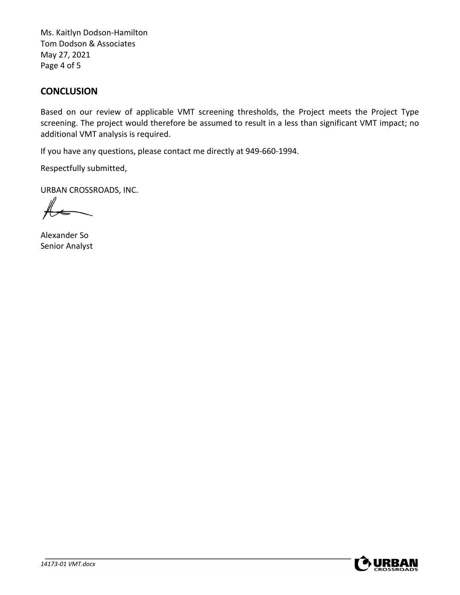Ms. Kaitlyn Dodson-Hamilton Tom Dodson & Associates May 27, 2021 Page 4 of 5

## **CONCLUSION**

Based on our review of applicable VMT screening thresholds, the Project meets the Project Type screening. The project would therefore be assumed to result in a less than significant VMT impact; no additional VMT analysis is required.

If you have any questions, please contact me directly at 949-660-1994.

Respectfully submitted,

URBAN CROSSROADS, INC.

Alexander So Senior Analyst

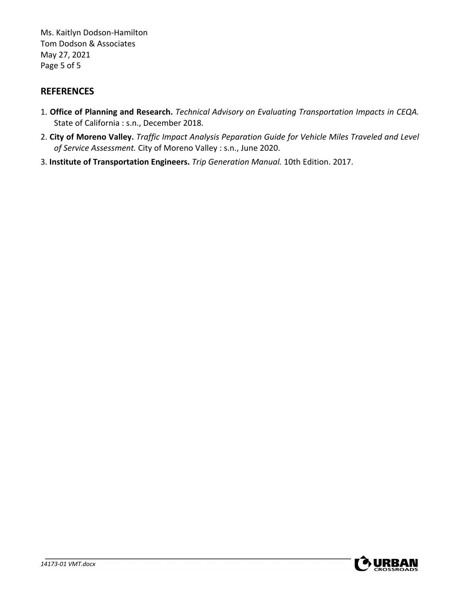Ms. Kaitlyn Dodson-Hamilton Tom Dodson & Associates May 27, 2021 Page 5 of 5

# **REFERENCES**

- 1. **Office of Planning and Research.** *Technical Advisory on Evaluating Transportation Impacts in CEQA.*  State of California : s.n., December 2018.
- 2. **City of Moreno Valley.** *Traffic Impact Analysis Peparation Guide for Vehicle Miles Traveled and Level of Service Assessment.* City of Moreno Valley : s.n., June 2020.
- 3. **Institute of Transportation Engineers.** *Trip Generation Manual.* 10th Edition. 2017.

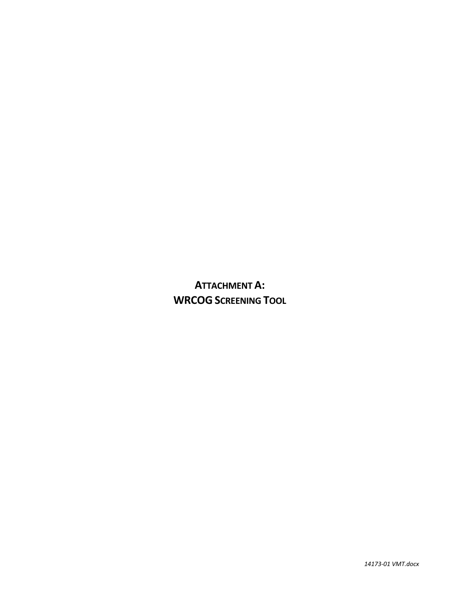**ATTACHMENT A: WRCOG SCREENING TOOL**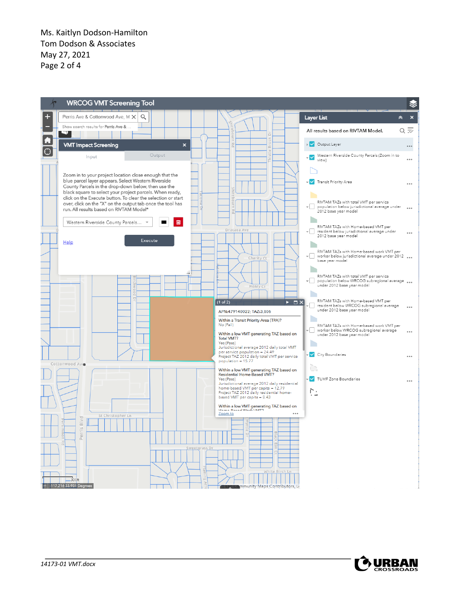Ms. Kaitlyn Dodson-Hamilton Tom Dodson & Associates May 27, 2021 Page 2 of 4



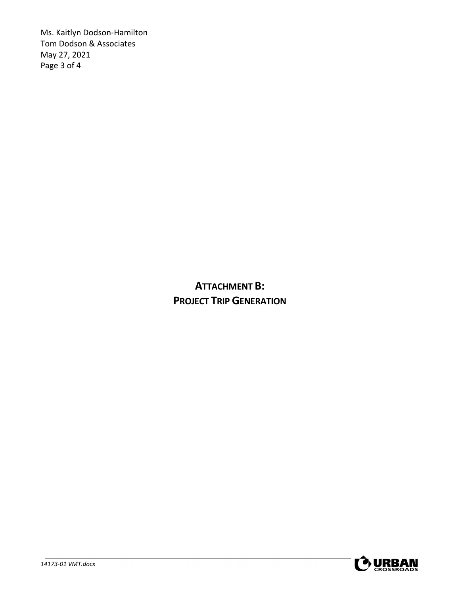Ms. Kaitlyn Dodson-Hamilton Tom Dodson & Associates May 27, 2021 Page 3 of 4

> **ATTACHMENT B: PROJECT TRIP GENERATION**